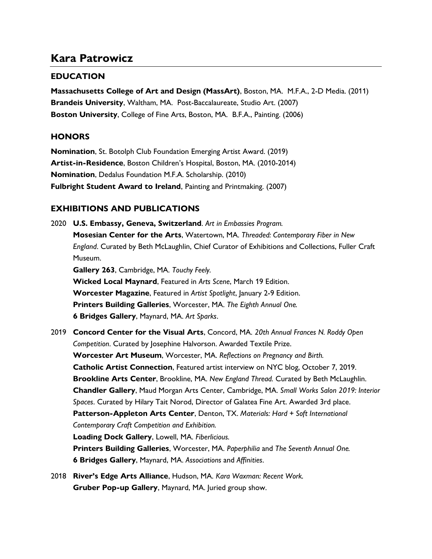# Kara Patrowicz

### EDUCATION

Massachusetts College of Art and Design (MassArt), Boston, MA. M.F.A., 2-D Media. (2011) Brandeis University, Waltham, MA. Post-Baccalaureate, Studio Art. (2007) Boston University, College of Fine Arts, Boston, MA. B.F.A., Painting. (2006)

### **HONORS**

Nomination, St. Botolph Club Foundation Emerging Artist Award. (2019) Artist-in-Residence, Boston Children's Hospital, Boston, MA. (2010-2014) Nomination, Dedalus Foundation M.F.A. Scholarship. (2010) Fulbright Student Award to Ireland, Painting and Printmaking. (2007)

## EXHIBITIONS AND PUBLICATIONS

- 2020 U.S. Embassy, Geneva, Switzerland. Art in Embassies Program. **Mosesian Center for the Arts, Watertown, MA. Threaded: Contemporary Fiber in New** England. Curated by Beth McLaughlin, Chief Curator of Exhibitions and Collections, Fuller Craft Museum. Gallery 263, Cambridge, MA. Touchy Feely. Wicked Local Maynard, Featured in Arts Scene, March 19 Edition. Worcester Magazine, Featured in Artist Spotlight, January 2-9 Edition. Printers Building Galleries, Worcester, MA. The Eighth Annual One. **6 Bridges Gallery, Maynard, MA. Art Sparks.** 2019 Concord Center for the Visual Arts, Concord, MA. 20th Annual Frances N. Roddy Open Competition. Curated by Josephine Halvorson. Awarded Textile Prize. Worcester Art Museum, Worcester, MA. Reflections on Pregnancy and Birth. Catholic Artist Connection, Featured artist interview on NYC blog, October 7, 2019. Brookline Arts Center, Brookline, MA. New England Thread. Curated by Beth McLaughlin. Chandler Gallery, Maud Morgan Arts Center, Cambridge, MA. Small Works Salon 2019: Interior Spaces. Curated by Hilary Tait Norod, Director of Galatea Fine Art. Awarded 3rd place. Patterson-Appleton Arts Center, Denton, TX. Materials: Hard + Soft International Contemporary Craft Competition and Exhibition. Loading Dock Gallery, Lowell, MA. Fiberlicious. Printers Building Galleries, Worcester, MA. Paperphilia and The Seventh Annual One. 6 Bridges Gallery, Maynard, MA. Associations and Affinities.
- 2018 River's Edge Arts Alliance, Hudson, MA. Kara Waxman: Recent Work. Gruber Pop-up Gallery, Maynard, MA. Juried group show.